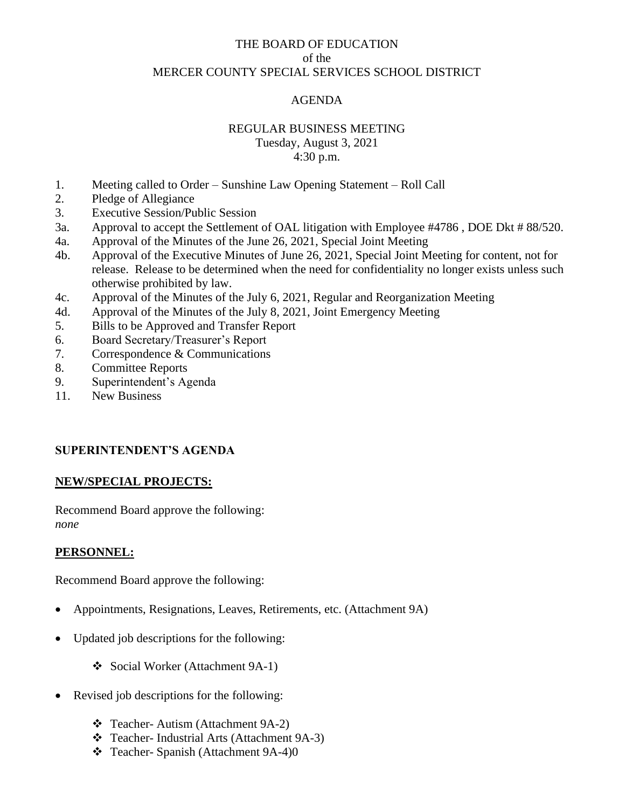# THE BOARD OF EDUCATION of the MERCER COUNTY SPECIAL SERVICES SCHOOL DISTRICT

### AGENDA

#### REGULAR BUSINESS MEETING

Tuesday, August 3, 2021 4:30 p.m.

- 1. Meeting called to Order Sunshine Law Opening Statement Roll Call
- 2. Pledge of Allegiance
- 3. Executive Session/Public Session
- 3a. Approval to accept the Settlement of OAL litigation with Employee #4786 , DOE Dkt # 88/520.
- 4a. Approval of the Minutes of the June 26, 2021, Special Joint Meeting
- 4b. Approval of the Executive Minutes of June 26, 2021, Special Joint Meeting for content, not for release. Release to be determined when the need for confidentiality no longer exists unless such otherwise prohibited by law.
- 4c. Approval of the Minutes of the July 6, 2021, Regular and Reorganization Meeting
- 4d. Approval of the Minutes of the July 8, 2021, Joint Emergency Meeting
- 5. Bills to be Approved and Transfer Report
- 6. Board Secretary/Treasurer's Report
- 7. Correspondence & Communications
- 8. Committee Reports
- 9. Superintendent's Agenda
- 11. New Business

# **SUPERINTENDENT'S AGENDA**

### **NEW/SPECIAL PROJECTS:**

Recommend Board approve the following: *none*

### **PERSONNEL:**

Recommend Board approve the following:

- Appointments, Resignations, Leaves, Retirements, etc. (Attachment 9A)
- Updated job descriptions for the following:
	- ❖ Social Worker (Attachment 9A-1)
- Revised job descriptions for the following:
	- ❖ Teacher- Autism (Attachment 9A-2)
	- ❖ Teacher- Industrial Arts (Attachment 9A-3)
	- ❖ Teacher- Spanish (Attachment 9A-4)0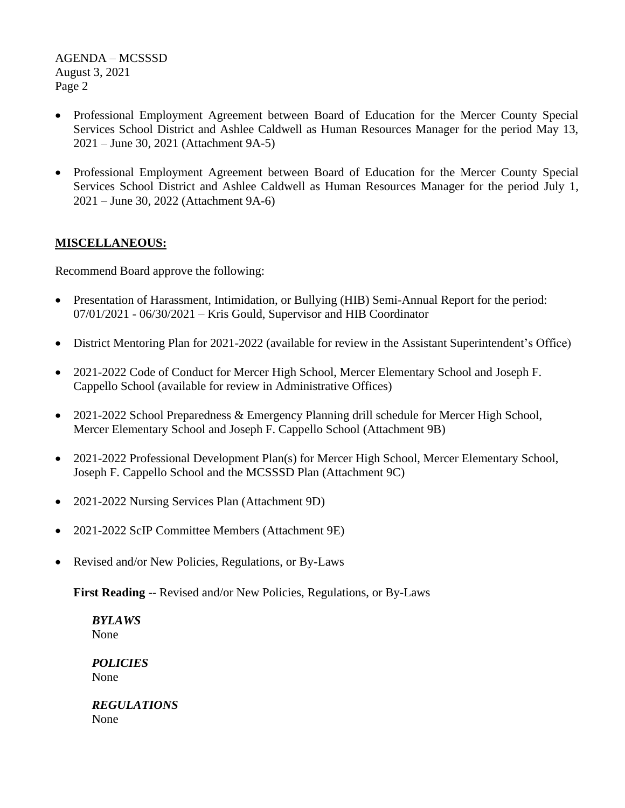- Professional Employment Agreement between Board of Education for the Mercer County Special Services School District and Ashlee Caldwell as Human Resources Manager for the period May 13, 2021 – June 30, 2021 (Attachment 9A-5)
- Professional Employment Agreement between Board of Education for the Mercer County Special Services School District and Ashlee Caldwell as Human Resources Manager for the period July 1, 2021 – June 30, 2022 (Attachment 9A-6)

# **MISCELLANEOUS:**

Recommend Board approve the following:

- Presentation of Harassment, Intimidation, or Bullying (HIB) Semi-Annual Report for the period: 07/01/2021 - 06/30/2021 – Kris Gould, Supervisor and HIB Coordinator
- District Mentoring Plan for 2021-2022 (available for review in the Assistant Superintendent's Office)
- 2021-2022 Code of Conduct for Mercer High School, Mercer Elementary School and Joseph F. Cappello School (available for review in Administrative Offices)
- 2021-2022 School Preparedness & Emergency Planning drill schedule for Mercer High School, Mercer Elementary School and Joseph F. Cappello School (Attachment 9B)
- 2021-2022 Professional Development Plan(s) for Mercer High School, Mercer Elementary School, Joseph F. Cappello School and the MCSSSD Plan (Attachment 9C)
- 2021-2022 Nursing Services Plan (Attachment 9D)
- 2021-2022 ScIP Committee Members (Attachment 9E)
- Revised and/or New Policies, Regulations, or By-Laws

**First Reading** -- Revised and/or New Policies, Regulations, or By-Laws

*BYLAWS* None

*POLICIES* None

*REGULATIONS* None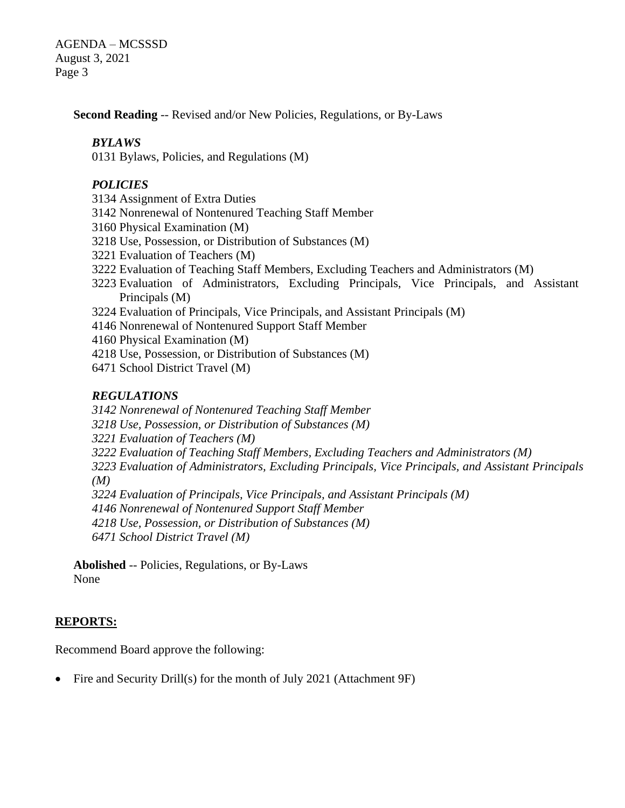**Second Reading** -- Revised and/or New Policies, Regulations, or By-Laws

### *BYLAWS*

Bylaws, Policies, and Regulations (M)

### *POLICIES*

- Assignment of Extra Duties
- Nonrenewal of Nontenured Teaching Staff Member
- Physical Examination (M)
- Use, Possession, or Distribution of Substances (M)
- Evaluation of Teachers (M)
- Evaluation of Teaching Staff Members, Excluding Teachers and Administrators (M)
- Evaluation of Administrators, Excluding Principals, Vice Principals, and Assistant Principals (M)
- Evaluation of Principals, Vice Principals, and Assistant Principals (M)
- Nonrenewal of Nontenured Support Staff Member
- Physical Examination (M)
- Use, Possession, or Distribution of Substances (M)
- School District Travel (M)

### *REGULATIONS*

*Nonrenewal of Nontenured Teaching Staff Member*

- *Use, Possession, or Distribution of Substances (M)*
- *Evaluation of Teachers (M)*
- *Evaluation of Teaching Staff Members, Excluding Teachers and Administrators (M)*

 *Evaluation of Administrators, Excluding Principals, Vice Principals, and Assistant Principals (M)*

*Evaluation of Principals, Vice Principals, and Assistant Principals (M)*

*Nonrenewal of Nontenured Support Staff Member*

*Use, Possession, or Distribution of Substances (M)*

*School District Travel (M)*

**Abolished** -- Policies, Regulations, or By-Laws None

### **REPORTS:**

Recommend Board approve the following:

• Fire and Security Drill(s) for the month of July 2021 (Attachment 9F)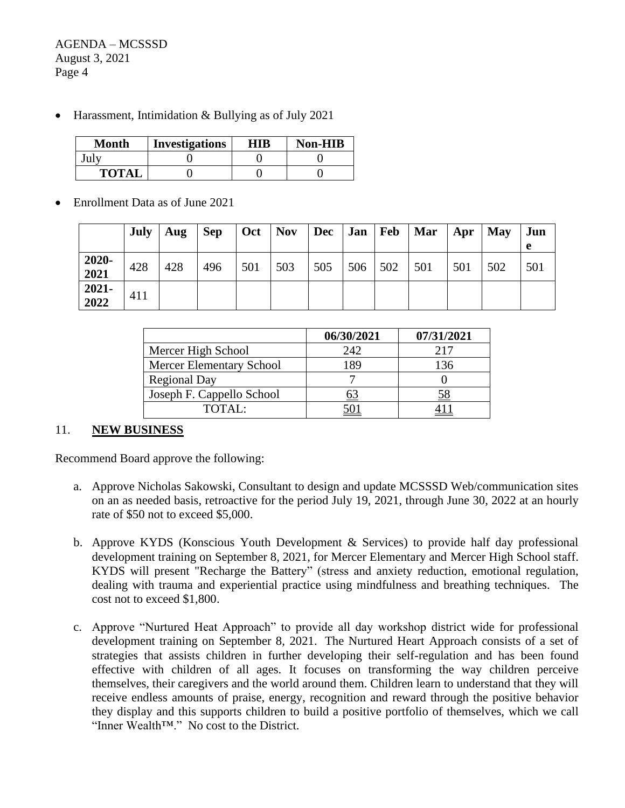• Harassment, Intimidation & Bullying as of July 2021

| <b>Month</b> | <b>Investigations</b> | HIB | <b>Non-HIB</b> |  |  |
|--------------|-----------------------|-----|----------------|--|--|
|              |                       |     |                |  |  |
| <b>TOTAI</b> |                       |     |                |  |  |

• Enrollment Data as of June 2021

|               | <b>July</b> | Aug | <b>Sep</b> | $\vert$ Oct $\vert$ Nov |     | $Dec$   Jan |     | Feb | Mar | Apr | <b>May</b> | Jun<br>e |
|---------------|-------------|-----|------------|-------------------------|-----|-------------|-----|-----|-----|-----|------------|----------|
| 2020-<br>2021 | 428         | 428 | 496        | 501                     | 503 | 505         | 506 | 502 | 501 | 501 | 502        | 501      |
| 2021-<br>2022 | 411         |     |            |                         |     |             |     |     |     |     |            |          |

|                                 | 06/30/2021 | 07/31/2021 |
|---------------------------------|------------|------------|
| Mercer High School              | 242        | 217        |
| <b>Mercer Elementary School</b> | 189        | 136        |
| <b>Regional Day</b>             |            |            |
| Joseph F. Cappello School       |            | 58         |
| TOTAL:                          |            |            |

### 11. **NEW BUSINESS**

Recommend Board approve the following:

- a. Approve Nicholas Sakowski, Consultant to design and update MCSSSD Web/communication sites on an as needed basis, retroactive for the period July 19, 2021, through June 30, 2022 at an hourly rate of \$50 not to exceed \$5,000.
- b. Approve KYDS (Konscious Youth Development & Services) to provide half day professional development training on September 8, 2021, for Mercer Elementary and Mercer High School staff. KYDS will present "Recharge the Battery" (stress and anxiety reduction, emotional regulation, dealing with trauma and experiential practice using mindfulness and breathing techniques. The cost not to exceed \$1,800.
- c. Approve "Nurtured Heat Approach" to provide all day workshop district wide for professional development training on September 8, 2021. The Nurtured Heart Approach consists of a set of strategies that assists children in further developing their self-regulation and has been found effective with children of all ages. It focuses on transforming the way children perceive themselves, their caregivers and the world around them. Children learn to understand that they will receive endless amounts of praise, energy, recognition and reward through the positive behavior they display and this supports children to build a positive portfolio of themselves, which we call "Inner Wealth™." No cost to the District.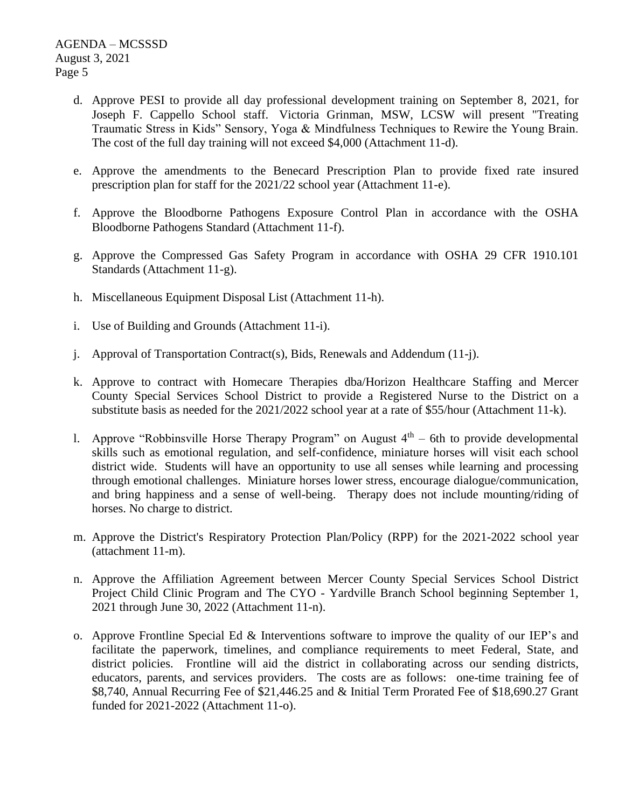- d. Approve PESI to provide all day professional development training on September 8, 2021, for Joseph F. Cappello School staff. Victoria Grinman, MSW, LCSW will present "Treating Traumatic Stress in Kids" Sensory, Yoga & Mindfulness Techniques to Rewire the Young Brain. The cost of the full day training will not exceed \$4,000 (Attachment 11-d).
- e. Approve the amendments to the Benecard Prescription Plan to provide fixed rate insured prescription plan for staff for the 2021/22 school year (Attachment 11-e).
- f. Approve the Bloodborne Pathogens Exposure Control Plan in accordance with the OSHA Bloodborne Pathogens Standard (Attachment 11-f).
- g. Approve the Compressed Gas Safety Program in accordance with OSHA 29 CFR 1910.101 Standards (Attachment 11-g).
- h. Miscellaneous Equipment Disposal List (Attachment 11-h).
- i. Use of Building and Grounds (Attachment 11-i).
- j. Approval of Transportation Contract(s), Bids, Renewals and Addendum (11-j).
- k. Approve to contract with Homecare Therapies dba/Horizon Healthcare Staffing and Mercer County Special Services School District to provide a Registered Nurse to the District on a substitute basis as needed for the 2021/2022 school year at a rate of \$55/hour (Attachment 11-k).
- 1. Approve "Robbinsville Horse Therapy Program" on August  $4<sup>th</sup> 6th$  to provide developmental skills such as emotional regulation, and self-confidence, miniature horses will visit each school district wide. Students will have an opportunity to use all senses while learning and processing through emotional challenges. Miniature horses lower stress, encourage dialogue/communication, and bring happiness and a sense of well-being. Therapy does not include mounting/riding of horses. No charge to district.
- m. Approve the District's Respiratory Protection Plan/Policy (RPP) for the 2021-2022 school year (attachment 11-m).
- n. Approve the Affiliation Agreement between Mercer County Special Services School District Project Child Clinic Program and The CYO - Yardville Branch School beginning September 1, 2021 through June 30, 2022 (Attachment 11-n).
- o. Approve Frontline Special Ed & Interventions software to improve the quality of our IEP's and facilitate the paperwork, timelines, and compliance requirements to meet Federal, State, and district policies. Frontline will aid the district in collaborating across our sending districts, educators, parents, and services providers. The costs are as follows: one-time training fee of \$8,740, Annual Recurring Fee of \$21,446.25 and & Initial Term Prorated Fee of \$18,690.27 Grant funded for 2021-2022 (Attachment 11-o).